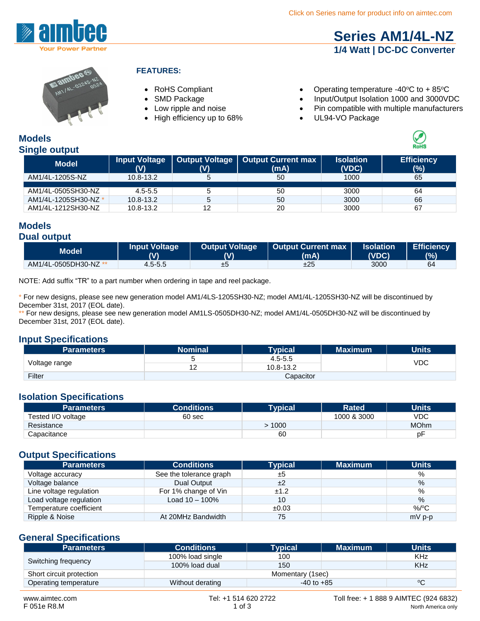

### **[Series AM1/4L-NZ](http://www.aimtec.com/am1l-nz) 1/4 Watt | DC-DC Converter**



#### **FEATURES:**

- 
- 
- 
- $\bullet$  High efficiency up to 68%  $\bullet$
- RoHS Compliant Operating temperature -40°C to +85°C
- SMD Package Input/Output Isolation 1000 and 3000VDC
- Low ripple and noise<br>• High efficiency up to 68%<br>• UL94-VO Package
	-

#### **Models Single output**

| <b>Model</b>         | Input Voltage<br>(V) | Output Voltage | <b>Output Current max</b><br>(mA) | <b>Isolation</b><br>(VDC) | <b>Efficiency</b><br>(%) |
|----------------------|----------------------|----------------|-----------------------------------|---------------------------|--------------------------|
| AM1/4L-1205S-NZ      | 10.8-13.2            |                | 50                                | 1000                      | 65                       |
| AM1/4L-0505SH30-NZ   | $4.5 - 5.5$          | 5              | 50                                | 3000                      | 64                       |
| AM1/4L-1205SH30-NZ * | $10.8 - 13.2$        | 5              | 50                                | 3000                      | 66                       |
| AM1/4L-1212SH30-NZ   | $10.8 - 13.2$        | 12             | 20                                | 3000                      | 67                       |

#### **Models Dual output**

| Model                 | <b>Input Voltage</b><br>(V) | Output Voltage | Output Current max<br>(mA) | <b>Isolation</b><br>(VDC)' | <b>Efficiency</b><br>(%) |
|-----------------------|-----------------------------|----------------|----------------------------|----------------------------|--------------------------|
| AM1/4L-0505DH30-NZ ** | 4.5-5.5                     | ±о             | ±25                        | 3000                       | 64                       |

NOTE: Add suffix "TR" to a part number when ordering in tape and reel package.

\* For new designs, please see new generation model AM1/4LS-1205SH30-NZ; model AM1/4L-1205SH30-NZ will be discontinued by December 31st, 2017 (EOL date).

\*\* For new designs, please see new generation model AM1LS-0505DH30-NZ; model AM1/4L-0505DH30-NZ will be discontinued by December 31st, 2017 (EOL date).

#### **Input Specifications**

| <b>Parameters</b> | <b>Nominal</b> | <b>Typical</b> | <b>Maximum</b> | <b>Units</b> |
|-------------------|----------------|----------------|----------------|--------------|
| Voltage range     |                | $4.5 - 5.5$    |                | VDC          |
|                   | . n<br>. .     | 10.8-13.2      |                |              |
| Filter            | Capacitor      |                |                |              |

#### **Isolation Specifications**

| <b>Parameters</b>  | <b>Conditions</b> | <b>Typical</b> | <b>Rated</b> | <b>Units</b> |
|--------------------|-------------------|----------------|--------------|--------------|
| Tested I/O voltage | 60 sec            |                | 1000 & 3000  | VDC          |
| Resistance         |                   | 1000           |              | <b>MOhm</b>  |
| Capacitance        |                   | 60             |              | рF           |

#### **Output Specifications**

| <b>Parameters</b>       | <b>Conditions</b>       | <b>Typical</b> | <b>Maximum</b> | <b>Units</b> |
|-------------------------|-------------------------|----------------|----------------|--------------|
| Voltage accuracy        | See the tolerance graph | ±5             |                | %            |
| Voltage balance         | Dual Output             | ±2             |                | $\%$         |
| Line voltage regulation | For 1% change of Vin    | ±1.2           |                | %            |
| Load voltage regulation | Load $10 - 100\%$       | 10             |                | $\%$         |
| Temperature coefficient |                         | ±0.03          |                | %/°C         |
| Ripple & Noise          | At 20MHz Bandwidth      | 75             |                | $mV$ p-p     |

#### **General Specifications**

| <b>Parameters</b>        | <b>Conditions</b> | Typical        | <b>Maximum</b> | <b>Units</b> |
|--------------------------|-------------------|----------------|----------------|--------------|
| Switching frequency      | 100% load single  | 100            |                | KHz          |
|                          | 100% load dual    | 150            |                | <b>KHz</b>   |
| Short circuit protection | Momentary (1sec)  |                |                |              |
| Operating temperature    | Without derating  | $-40$ to $+85$ |                | °C           |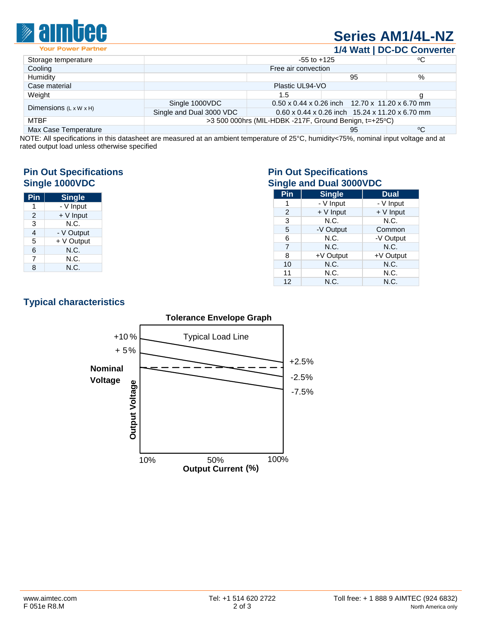

## **[Series AM1/4L-NZ](http://www.aimtec.com/am1l-nz)**

**1/4 Watt | DC-DC Converter**

| Storage temperature                | $-55$ to $+125$                                                   |     | °C                                                          |    |
|------------------------------------|-------------------------------------------------------------------|-----|-------------------------------------------------------------|----|
| Cooling                            | Free air convection                                               |     |                                                             |    |
| Humidity                           |                                                                   |     | 95                                                          | %  |
| Case material                      | Plastic UL94-VO                                                   |     |                                                             |    |
| Weight                             |                                                                   | 1.5 |                                                             | g  |
| Dimensions $(L \times W \times H)$ | Single 1000VDC                                                    |     | $0.50 \times 0.44 \times 0.26$ inch 12.70 x 11.20 x 6.70 mm |    |
|                                    | Single and Dual 3000 VDC                                          |     | 0.60 x 0.44 x 0.26 inch 15.24 x 11.20 x 6.70 mm             |    |
| <b>MTBF</b>                        | $>3500$ 000hrs (MIL-HDBK -217F, Ground Benign, t=+25 $\degree$ C) |     |                                                             |    |
| Max Case Temperature               |                                                                   |     | 95                                                          | °C |
|                                    |                                                                   |     |                                                             |    |

NOTE: All specifications in this datasheet are measured at an ambient temperature of 25°C, humidity<75%, nominal input voltage and at rated output load unless otherwise specified

# **Pin Out Specifications**<br> **Pin Out Specifications**<br> **Single 1000VDC**<br> **Pin Out Specifications**

| Pin            | <b>Single</b> |  |
|----------------|---------------|--|
| 1              | - V Input     |  |
| 2              | + V Input     |  |
| 3              | N.C.          |  |
| $\overline{4}$ | - V Output    |  |
| 5              | + V Output    |  |
| 6              | N.C.          |  |
| 7              | N.C.          |  |
| 8              | N.C.          |  |

# **Single 1000VDC Single and Dual 3000VDC**

| Pin            | <b>Single</b> | <b>Dual</b> |
|----------------|---------------|-------------|
|                | - V Input     | - V Input   |
| 2              | $+V$ Input    | $+V$ Input  |
| 3              | N.C.          | N.C.        |
| 5              | -V Output     | Common      |
| 6              | N.C.          | -V Output   |
| $\overline{7}$ | N.C.          | N.C.        |
| 8              | +V Output     | +V Output   |
| 10             | N.C.          | N.C.        |
| 11             | N.C.          | N.C.        |
| 12             | N.C.          | N.C.        |

### **Typical characteristics**